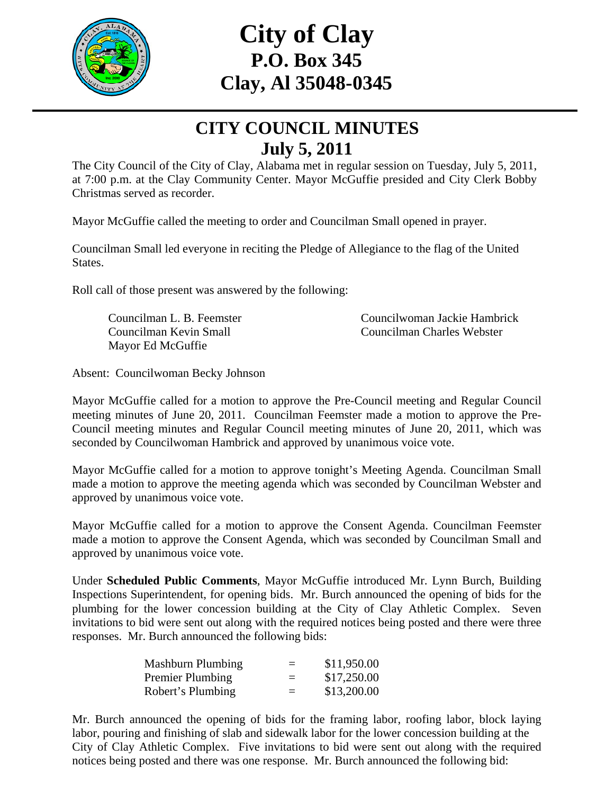

## **City of Clay P.O. Box 345 Clay, Al 35048-0345**

### **CITY COUNCIL MINUTES July 5, 2011**

The City Council of the City of Clay, Alabama met in regular session on Tuesday, July 5, 2011, at 7:00 p.m. at the Clay Community Center. Mayor McGuffie presided and City Clerk Bobby Christmas served as recorder.

Mayor McGuffie called the meeting to order and Councilman Small opened in prayer.

Councilman Small led everyone in reciting the Pledge of Allegiance to the flag of the United States.

Roll call of those present was answered by the following:

Mayor Ed McGuffie

Councilman L. B. Feemster Councilwoman Jackie Hambrick Councilman Kevin Small Councilman Charles Webster

Absent: Councilwoman Becky Johnson

Mayor McGuffie called for a motion to approve the Pre-Council meeting and Regular Council meeting minutes of June 20, 2011. Councilman Feemster made a motion to approve the Pre-Council meeting minutes and Regular Council meeting minutes of June 20, 2011, which was seconded by Councilwoman Hambrick and approved by unanimous voice vote.

Mayor McGuffie called for a motion to approve tonight's Meeting Agenda. Councilman Small made a motion to approve the meeting agenda which was seconded by Councilman Webster and approved by unanimous voice vote.

Mayor McGuffie called for a motion to approve the Consent Agenda. Councilman Feemster made a motion to approve the Consent Agenda, which was seconded by Councilman Small and approved by unanimous voice vote.

Under **Scheduled Public Comments**, Mayor McGuffie introduced Mr. Lynn Burch, Building Inspections Superintendent, for opening bids. Mr. Burch announced the opening of bids for the plumbing for the lower concession building at the City of Clay Athletic Complex. Seven invitations to bid were sent out along with the required notices being posted and there were three responses. Mr. Burch announced the following bids:

| <b>Mashburn Plumbing</b> | $=$ | \$11,950.00 |
|--------------------------|-----|-------------|
| <b>Premier Plumbing</b>  | $=$ | \$17,250.00 |
| Robert's Plumbing        | $=$ | \$13,200.00 |

Mr. Burch announced the opening of bids for the framing labor, roofing labor, block laying labor, pouring and finishing of slab and sidewalk labor for the lower concession building at the City of Clay Athletic Complex. Five invitations to bid were sent out along with the required notices being posted and there was one response. Mr. Burch announced the following bid: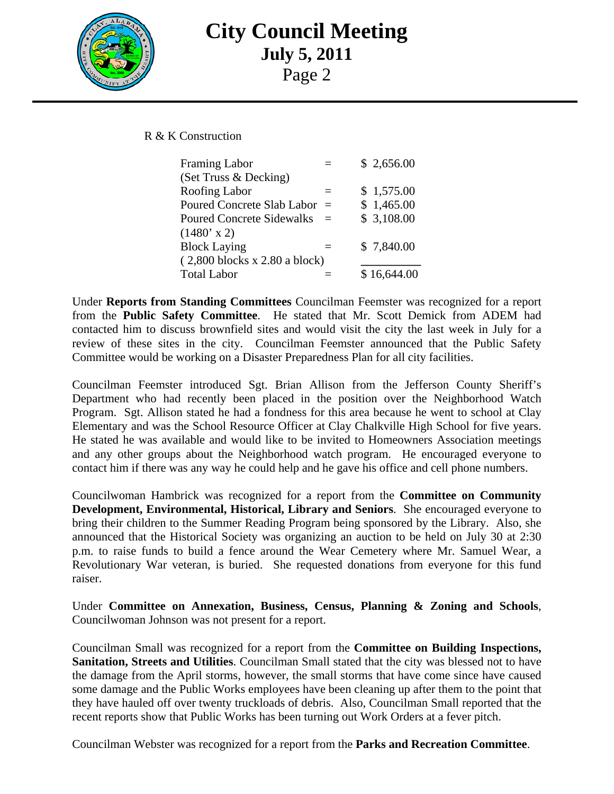

# **City Council Meeting July 5, 2011**

Page 2

R & K Construction

| Framing Labor                    |     | \$2,656.00  |
|----------------------------------|-----|-------------|
| (Set Truss & Decking)            |     |             |
| Roofing Labor                    |     | \$1,575.00  |
| Poured Concrete Slab Labor =     |     | \$1,465.00  |
| <b>Poured Concrete Sidewalks</b> | $=$ | \$3,108.00  |
| $(1480' \times 2)$               |     |             |
| <b>Block Laying</b>              |     | \$7,840.00  |
| $(2,800$ blocks x 2.80 a block)  |     |             |
| <b>Total Labor</b>               |     | \$16,644.00 |
|                                  |     |             |

Under **Reports from Standing Committees** Councilman Feemster was recognized for a report from the **Public Safety Committee**. He stated that Mr. Scott Demick from ADEM had contacted him to discuss brownfield sites and would visit the city the last week in July for a review of these sites in the city. Councilman Feemster announced that the Public Safety Committee would be working on a Disaster Preparedness Plan for all city facilities.

Councilman Feemster introduced Sgt. Brian Allison from the Jefferson County Sheriff's Department who had recently been placed in the position over the Neighborhood Watch Program. Sgt. Allison stated he had a fondness for this area because he went to school at Clay Elementary and was the School Resource Officer at Clay Chalkville High School for five years. He stated he was available and would like to be invited to Homeowners Association meetings and any other groups about the Neighborhood watch program. He encouraged everyone to contact him if there was any way he could help and he gave his office and cell phone numbers.

Councilwoman Hambrick was recognized for a report from the **Committee on Community Development, Environmental, Historical, Library and Seniors**. She encouraged everyone to bring their children to the Summer Reading Program being sponsored by the Library. Also, she announced that the Historical Society was organizing an auction to be held on July 30 at 2:30 p.m. to raise funds to build a fence around the Wear Cemetery where Mr. Samuel Wear, a Revolutionary War veteran, is buried. She requested donations from everyone for this fund raiser.

Under **Committee on Annexation, Business, Census, Planning & Zoning and Schools**, Councilwoman Johnson was not present for a report.

Councilman Small was recognized for a report from the **Committee on Building Inspections, Sanitation, Streets and Utilities**. Councilman Small stated that the city was blessed not to have the damage from the April storms, however, the small storms that have come since have caused some damage and the Public Works employees have been cleaning up after them to the point that they have hauled off over twenty truckloads of debris. Also, Councilman Small reported that the recent reports show that Public Works has been turning out Work Orders at a fever pitch.

Councilman Webster was recognized for a report from the **Parks and Recreation Committee**.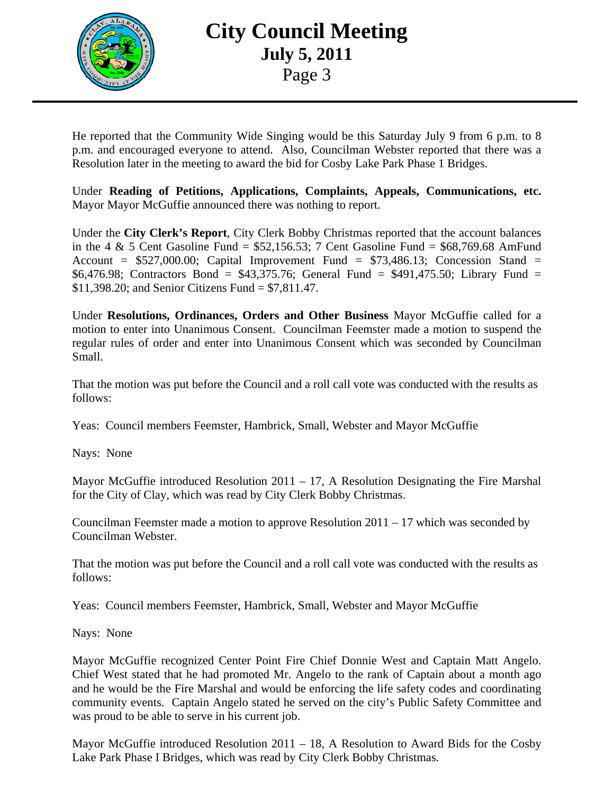

### **City Council Meeting July 5, 2011**  Page 3

He reported that the Community Wide Singing would be this Saturday July 9 from 6 p.m. to 8 p.m. and encouraged everyone to attend. Also, Councilman Webster reported that there was a Resolution later in the meeting to award the bid for Cosby Lake Park Phase 1 Bridges.

Under **Reading of Petitions, Applications, Complaints, Appeals, Communications, etc.** Mayor Mayor McGuffie announced there was nothing to report.

Under the **City Clerk's Report**, City Clerk Bobby Christmas reported that the account balances in the 4  $\&$  5 Cent Gasoline Fund = \$52,156.53; 7 Cent Gasoline Fund = \$68,769.68 AmFund Account =  $$527,000.00$ ; Capital Improvement Fund =  $$73,486.13$ ; Concession Stand = \$6,476.98; Contractors Bond = \$43,375.76; General Fund = \$491,475.50; Library Fund = \$11,398.20; and Senior Citizens Fund = \$7,811.47.

Under **Resolutions, Ordinances, Orders and Other Business** Mayor McGuffie called for a motion to enter into Unanimous Consent. Councilman Feemster made a motion to suspend the regular rules of order and enter into Unanimous Consent which was seconded by Councilman Small.

That the motion was put before the Council and a roll call vote was conducted with the results as follows:

Yeas: Council members Feemster, Hambrick, Small, Webster and Mayor McGuffie

Nays: None

Mayor McGuffie introduced Resolution  $2011 - 17$ , A Resolution Designating the Fire Marshal for the City of Clay, which was read by City Clerk Bobby Christmas.

Councilman Feemster made a motion to approve Resolution 2011 – 17 which was seconded by Councilman Webster.

That the motion was put before the Council and a roll call vote was conducted with the results as follows:

Yeas: Council members Feemster, Hambrick, Small, Webster and Mayor McGuffie

Nays: None

Mayor McGuffie recognized Center Point Fire Chief Donnie West and Captain Matt Angelo. Chief West stated that he had promoted Mr. Angelo to the rank of Captain about a month ago and he would be the Fire Marshal and would be enforcing the life safety codes and coordinating community events. Captain Angelo stated he served on the city's Public Safety Committee and was proud to be able to serve in his current job.

Mayor McGuffie introduced Resolution 2011 – 18, A Resolution to Award Bids for the Cosby Lake Park Phase I Bridges, which was read by City Clerk Bobby Christmas.